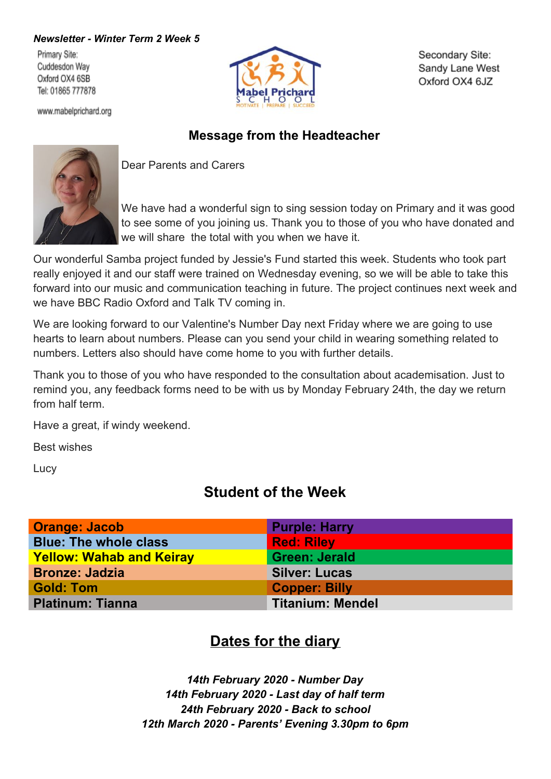#### *Newsletter - Winter Term 2 Week 5*

Primary Site: Cuddesdon Way Oxford OX4 6SB Tel: 01865 777878





Secondary Site: Sandy Lane West Oxford OX4 6JZ

### **Message from the Headteacher**



Dear Parents and Carers

We have had a wonderful sign to sing session today on Primary and it was good to see some of you joining us. Thank you to those of you who have donated and we will share the total with you when we have it.

Our wonderful Samba project funded by Jessie's Fund started this week. Students who took part really enjoyed it and our staff were trained on Wednesday evening, so we will be able to take this forward into our music and communication teaching in future. The project continues next week and we have BBC Radio Oxford and Talk TV coming in.

We are looking forward to our Valentine's Number Day next Friday where we are going to use hearts to learn about numbers. Please can you send your child in wearing something related to numbers. Letters also should have come home to you with further details.

Thank you to those of you who have responded to the consultation about academisation. Just to remind you, any feedback forms need to be with us by Monday February 24th, the day we return from half term.

Have a great, if windy weekend.

Best wishes

**Lucy** 

# **Student of the Week**

| <b>Orange: Jacob</b>            | <b>Purple: Harry</b>    |
|---------------------------------|-------------------------|
| <b>Blue: The whole class</b>    | <b>Red: Riley</b>       |
| <b>Yellow: Wahab and Keiray</b> | <b>Green: Jerald</b>    |
| <b>Bronze: Jadzia</b>           | <b>Silver: Lucas</b>    |
| <b>Gold: Tom</b>                | <b>Copper: Billy</b>    |
| <b>Platinum: Tianna</b>         | <b>Titanium: Mendel</b> |

# **Dates for the diary**

*14th February 2020 - Number Day 14th February 2020 - Last day of half term 24th February 2020 - Back to school 12th March 2020 - Parents' Evening 3.30pm to 6pm*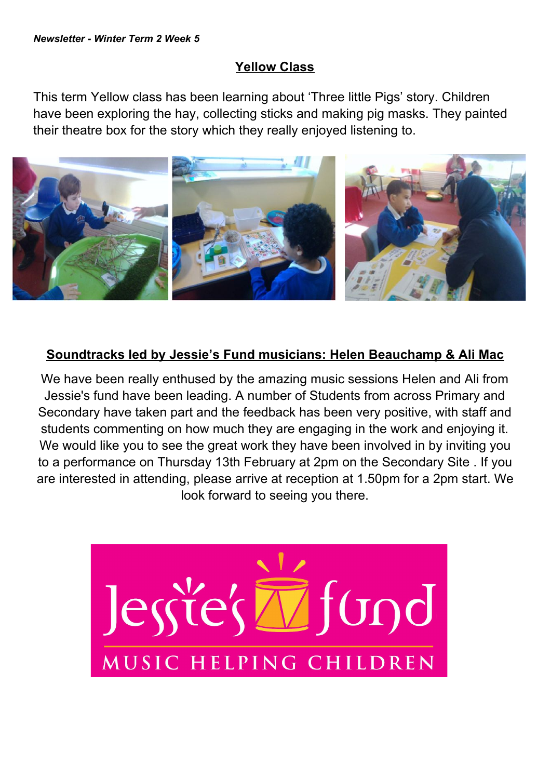#### **Yellow Class**

This term Yellow class has been learning about 'Three little Pigs' story. Children have been exploring the hay, collecting sticks and making pig masks. They painted their theatre box for the story which they really enjoyed listening to.



## **Soundtracks led by Jessie's Fund musicians: Helen Beauchamp & Ali Mac**

We have been really enthused by the amazing music sessions Helen and Ali from Jessie's fund have been leading. A number of Students from across Primary and Secondary have taken part and the feedback has been very positive, with staff and students commenting on how much they are engaging in the work and enjoying it. We would like you to see the great work they have been involved in by inviting you to a performance on Thursday 13th February at 2pm on the Secondary Site . If you are interested in attending, please arrive at reception at 1.50pm for a 2pm start. We look forward to seeing you there.